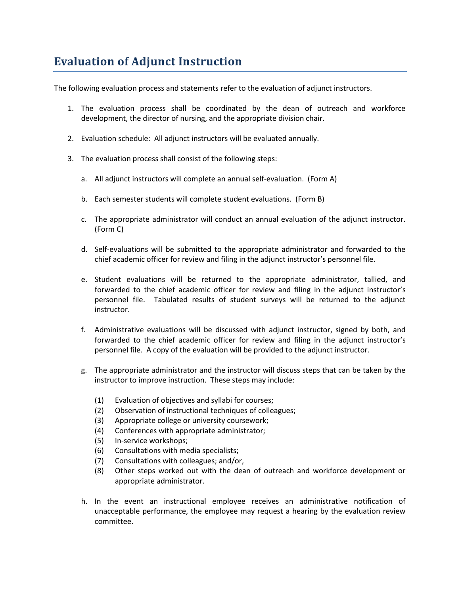## **Evaluation of Adjunct Instruction**

The following evaluation process and statements refer to the evaluation of adjunct instructors.

- 1. The evaluation process shall be coordinated by the dean of outreach and workforce development, the director of nursing, and the appropriate division chair.
- 2. Evaluation schedule: All adjunct instructors will be evaluated annually.
- 3. The evaluation process shall consist of the following steps:
	- a. All adjunct instructors will complete an annual self-evaluation. (Form A)
	- b. Each semester students will complete student evaluations. (Form B)
	- c. The appropriate administrator will conduct an annual evaluation of the adjunct instructor. (Form C)
	- d. Self-evaluations will be submitted to the appropriate administrator and forwarded to the chief academic officer for review and filing in the adjunct instructor's personnel file.
	- e. Student evaluations will be returned to the appropriate administrator, tallied, and forwarded to the chief academic officer for review and filing in the adjunct instructor's personnel file. Tabulated results of student surveys will be returned to the adjunct instructor.
	- f. Administrative evaluations will be discussed with adjunct instructor, signed by both, and forwarded to the chief academic officer for review and filing in the adjunct instructor's personnel file. A copy of the evaluation will be provided to the adjunct instructor.
	- g. The appropriate administrator and the instructor will discuss steps that can be taken by the instructor to improve instruction. These steps may include:
		- (1) Evaluation of objectives and syllabi for courses;
		- (2) Observation of instructional techniques of colleagues;
		- (3) Appropriate college or university coursework;
		- (4) Conferences with appropriate administrator;
		- (5) In-service workshops;
		- (6) Consultations with media specialists;
		- (7) Consultations with colleagues; and/or,
		- (8) Other steps worked out with the dean of outreach and workforce development or appropriate administrator.
	- h. In the event an instructional employee receives an administrative notification of unacceptable performance, the employee may request a hearing by the evaluation review committee.